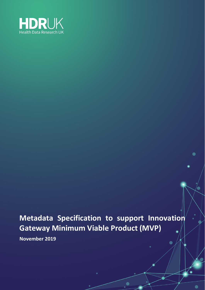

# <span id="page-0-0"></span>**Metadata Specification to support Innovation Gateway Minimum Viable Product (MVP)**

<span id="page-0-1"></span>**November 2019**

 $\bullet$ 

 $\blacksquare$ 

 $\bullet$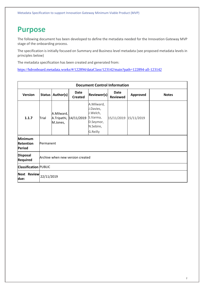### <span id="page-1-0"></span>**Purpose**

The following document has been developed to define the metadata needed for the Innovation Gateway MVP stage of the onboarding process.

The specification is initially focused on Summary and Business level metadata (see proposed metadata levels in principles below)

The metadata specification has been created and generated from:

<https://hdronboard.metadata.works/#/122894/dataClass/123142/main?path=122894-all-123142>

| <b>Document Control Information</b>                 |                              |                                  |                        |                                                                                       |                         |                 |              |
|-----------------------------------------------------|------------------------------|----------------------------------|------------------------|---------------------------------------------------------------------------------------|-------------------------|-----------------|--------------|
| <b>Version</b>                                      | <b>Status</b>                | Author(s)                        | Date<br><b>Created</b> | <b>Reviewer(s)</b>                                                                    | Date<br><b>Reviewed</b> | <b>Approved</b> | <b>Notes</b> |
| 1.1.7                                               | Trial                        | A.Milward,<br>M.Jones,           | A.Tripathi, 14/11/2019 | A.Milward,<br>J.Davies,<br>J.Welch,<br>S.Varma,<br>D.Seymor,<br>N.Sebire,<br>G.Reilly | 15/11/2019 15/11/2019   |                 |              |
| <b>Minimum</b><br><b>Retention</b><br><b>Period</b> | Permanent                    |                                  |                        |                                                                                       |                         |                 |              |
| <b>Disposal</b><br><b>Required</b>                  |                              | Archive when new version created |                        |                                                                                       |                         |                 |              |
|                                                     | <b>Classification PUBLIC</b> |                                  |                        |                                                                                       |                         |                 |              |
| <b>Next Review</b><br>due:                          | 22/11/2019                   |                                  |                        |                                                                                       |                         |                 |              |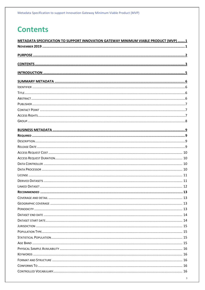# <span id="page-2-0"></span>**Contents**

| METADATA SPECIFICATION TO SUPPORT INNOVATION GATEWAY MINIMUM VIABLE PRODUCT (MVP) 1 |
|-------------------------------------------------------------------------------------|
|                                                                                     |
|                                                                                     |
|                                                                                     |
|                                                                                     |
|                                                                                     |
|                                                                                     |
|                                                                                     |
|                                                                                     |
|                                                                                     |
|                                                                                     |
|                                                                                     |
|                                                                                     |
|                                                                                     |
|                                                                                     |
|                                                                                     |
|                                                                                     |
|                                                                                     |
|                                                                                     |
|                                                                                     |
|                                                                                     |
|                                                                                     |
|                                                                                     |
|                                                                                     |
|                                                                                     |
|                                                                                     |
|                                                                                     |
|                                                                                     |
|                                                                                     |
|                                                                                     |
|                                                                                     |
|                                                                                     |
|                                                                                     |
|                                                                                     |
|                                                                                     |
|                                                                                     |
|                                                                                     |
|                                                                                     |
|                                                                                     |
|                                                                                     |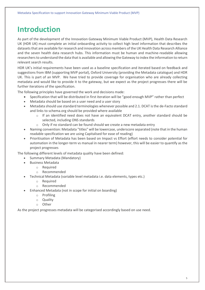# <span id="page-4-0"></span>**Introduction**

As part of the development of the Innovation Gateway Minimum Viable Product (MVP), Health Data Research UK (HDR UK) must complete an initial onboarding activity to collect high level information that describes the datasets that are available for research and innovation across members of the UK Health Data Research Alliance and the seven health data research hubs. This information must be human and machine-readable allowing researchers to understand the data that is available and allowing the Gateway to index the information to return relevant search results.

HDR UK's initial requirements have been used as a baseline specification and iterated based on feedback and suggestions from IBM (supporting MVP portal), Oxford University (providing the Metadata catalogue) and HDR UK. This is part of an MVP. We have tried to provide coverage for organisation who are already collecting metadata and would like to provide it to the gateway, but we expect as the project progresses there will be further iterations of the specification.

The following principles have governed the work and decisions made:

- Specification that will be distributed in first iteration will be "good enough MVP" rather than perfect
- Metadata should be based on a user need and a user story
- Metadata should use standard terminologies whenever possible and 2.1. DCAT is the de-Facto standard and links to schema.org should be provided where available
	- $\circ$  If an identified need does not have an equivalent DCAT entry, another standard should be selected, including ONS standards
	- $\circ$  Only if no standard can be found should we create a new metadata entry
- Naming convention: Metadata "titles" will be lowercase, underscore separated (note that in the human readable specification we are using Capitalised for ease of reading)
- Prioritisation of Metadata has been based on Impact vs Effort (effort needs to consider potential for automation in the longer-term vs manual in nearer term) however, this will be easier to quantify as the project progresses

The following different levels of metadata quality have been defined:

- Summary Metadata (Mandatory)
- Business Metadata
	- o Required
		- o Recommended
- Technical Metadata (variable level metadata i.e. data elements, types etc.)
	- o Required
	- o Recommended
- Enhanced Metadata (not in scope for initial on boarding)
	- o Profiling
	- o Quality
	- o Other

As the project progresses metadata will be categorised accordingly based on use need.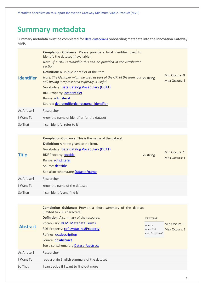Metadata Specification to support Innovation Gateway Minimum Viable Product (MVP)

## <span id="page-5-0"></span>**Summary metadata**

Summary metadata must be completed for [data custodians](https://hdronboard.metadata.works/#/123147/dataClass/123148/main?path=123147-all-123148) onboarding metadata into the Innovation Gateway MVP.

<span id="page-5-2"></span><span id="page-5-1"></span>

| <b>Identifier</b> | Completion Guidance: Please provide a local identifier used to<br>identify the dataset (if available).<br>Note: if a DOI is available this can be provided in the Attribution<br>section.<br>Definition: A unique identifier of the item.<br>Note: The identifier might be used as part of the URI of the item, but xs:string<br>still having it represented explicitly is useful.<br>Vocabulary: Data Catalog Vocabulary (DCAT)<br>RDF Property: dc:identifier<br>Range: rdfs:Literal<br>Source: dct:identifierdct:resource identifier |                                                                               | Min Occurs: 0<br>Max Occurs: 1 |
|-------------------|-----------------------------------------------------------------------------------------------------------------------------------------------------------------------------------------------------------------------------------------------------------------------------------------------------------------------------------------------------------------------------------------------------------------------------------------------------------------------------------------------------------------------------------------|-------------------------------------------------------------------------------|--------------------------------|
| As A [user]       | Researcher                                                                                                                                                                                                                                                                                                                                                                                                                                                                                                                              |                                                                               |                                |
| I Want To         | know the name of identifier for the dataset                                                                                                                                                                                                                                                                                                                                                                                                                                                                                             |                                                                               |                                |
| So That           | I can identify, refer to it                                                                                                                                                                                                                                                                                                                                                                                                                                                                                                             |                                                                               |                                |
|                   |                                                                                                                                                                                                                                                                                                                                                                                                                                                                                                                                         |                                                                               |                                |
| <b>Title</b>      | <b>Completion Guidance:</b> This is the name of the dataset.<br>Definition: A name given to the item.<br>Vocabulary: Data Catalog Vocabulary (DCAT)<br>RDF Property: dc:title<br>Range: rdfs: Literal<br>Source: dct:title<br>See also: schema.org <b>Dataset/name</b>                                                                                                                                                                                                                                                                  | xs:string                                                                     | Min Occurs: 1<br>Max Occurs: 1 |
| As A [user]       | Researcher                                                                                                                                                                                                                                                                                                                                                                                                                                                                                                                              |                                                                               |                                |
| I Want To         | know the name of the dataset                                                                                                                                                                                                                                                                                                                                                                                                                                                                                                            |                                                                               |                                |
| So That           | I can identify and find it                                                                                                                                                                                                                                                                                                                                                                                                                                                                                                              |                                                                               |                                |
|                   |                                                                                                                                                                                                                                                                                                                                                                                                                                                                                                                                         |                                                                               |                                |
| <b>Abstract</b>   | <b>Completion Guidance:</b> Provide a short summary of the dataset<br>(limited to 256 characters)<br>Definition: A summary of the resource.<br>Vocabulary: DCMI Metadata Terms<br>RDF Property: rdf-syntax-ns#Property<br>Refines: dc:description<br>Source: dc:abstract<br>See also: schema.org Dataset/abstract                                                                                                                                                                                                                       | xs:string<br>// min 5<br>$\frac{1}{\text{max}}$ 256<br>$x == \frac{1}{5,256}$ | Min Occurs: 1<br>Max Occurs: 1 |
| As A [user]       | Researcher                                                                                                                                                                                                                                                                                                                                                                                                                                                                                                                              |                                                                               |                                |

<span id="page-5-3"></span>I Want To read a plain English summary of the dataset So That I can decide if I want to find out more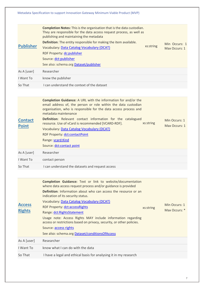<span id="page-6-1"></span><span id="page-6-0"></span>

|                                | Metadata Specification to support Innovation Gateway Minimum Viable Product (MVP)                                                                                                                                                                                                                                                                                                                                                                                                                                                                                      |           |                                |
|--------------------------------|------------------------------------------------------------------------------------------------------------------------------------------------------------------------------------------------------------------------------------------------------------------------------------------------------------------------------------------------------------------------------------------------------------------------------------------------------------------------------------------------------------------------------------------------------------------------|-----------|--------------------------------|
| <b>Publisher</b>               | <b>Completion Notes:</b> This is the organisation that is the data custodian.<br>They are responsible for the data access request process, as well as<br>publishing and maintaining the metadata<br>Definition: The entity responsible for making the item available.<br>Vocabulary: Data Catalog Vocabulary (DCAT)<br>RDF Property: dc:publisher<br>Source: dct:publisher<br>See also: schema.org Dataset/publisher                                                                                                                                                   | xs:string | Min Occurs: 1<br>Max Occurs: 1 |
| As A [user]                    | Researcher                                                                                                                                                                                                                                                                                                                                                                                                                                                                                                                                                             |           |                                |
| I Want To                      | know the publisher                                                                                                                                                                                                                                                                                                                                                                                                                                                                                                                                                     |           |                                |
| So That                        | I can understand the context of the dataset                                                                                                                                                                                                                                                                                                                                                                                                                                                                                                                            |           |                                |
|                                |                                                                                                                                                                                                                                                                                                                                                                                                                                                                                                                                                                        |           |                                |
| <b>Contact</b><br><b>Point</b> | <b>Completion Guidance:</b> A URL with the information for and/or the<br>email address of, the person or role within the data custodian<br>organisation, who is responsible for the data access process and<br>metadata maintenance<br><b>Definition:</b> Relevant contact information for the catalogued<br>resource. Use of vCard is recommended [VCARD-RDF].<br>Vocabulary: Data Catalog Vocabulary (DCAT)<br>RDF Property: dct:contactPoint<br>Range: vcard:Kind<br>Source: dct:contact point                                                                      | xs:string | Min Occurs: 1<br>Max Occurs: 1 |
| As A [user]                    | Researcher                                                                                                                                                                                                                                                                                                                                                                                                                                                                                                                                                             |           |                                |
| I Want To                      | contact person                                                                                                                                                                                                                                                                                                                                                                                                                                                                                                                                                         |           |                                |
| So That                        | I can understand the datasets and request access                                                                                                                                                                                                                                                                                                                                                                                                                                                                                                                       |           |                                |
|                                |                                                                                                                                                                                                                                                                                                                                                                                                                                                                                                                                                                        |           |                                |
| <b>Access</b><br><b>Rights</b> | Completion Guidance: Text or link to website/documentation<br>where data access request process and/or guidance is provided<br>Definition: Information about who can access the resource or an<br>indication of its security status.<br>Vocabulary: Data Catalog Vocabulary (DCAT)<br>RDF Property: dct:accessRights<br>Range: dct:RightsStatement<br>Usage note: Access Rights MAY include information regarding<br>access or restrictions based on privacy, security, or other policies.<br>Source: access rights<br>See also: schema.org Dataset/conditionsOfAccess | xs:string | Min Occurs: 1<br>Max Occurs: * |
| As A [user]                    | Researcher                                                                                                                                                                                                                                                                                                                                                                                                                                                                                                                                                             |           |                                |
| I Want To                      | know what I can do with the data                                                                                                                                                                                                                                                                                                                                                                                                                                                                                                                                       |           |                                |
|                                |                                                                                                                                                                                                                                                                                                                                                                                                                                                                                                                                                                        |           |                                |

<span id="page-6-2"></span>So That I have a legal and ethical basis for analysing it in my research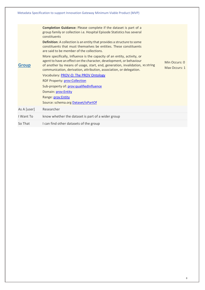<span id="page-7-0"></span>

| Metadata Specification to support Innovation Gateway Minimum Viable Product (MVP) |                                                                                                                                                                                                                                                                                                                                                                                                                                                                                                                                                                                                                                                                                                                                                                                                                                                                                                       |                                |  |  |  |
|-----------------------------------------------------------------------------------|-------------------------------------------------------------------------------------------------------------------------------------------------------------------------------------------------------------------------------------------------------------------------------------------------------------------------------------------------------------------------------------------------------------------------------------------------------------------------------------------------------------------------------------------------------------------------------------------------------------------------------------------------------------------------------------------------------------------------------------------------------------------------------------------------------------------------------------------------------------------------------------------------------|--------------------------------|--|--|--|
| <b>Group</b>                                                                      | <b>Completion Guidance:</b> Please complete if the dataset is part of a<br>group family or collection i.e. Hospital Episode Statistics has several<br>constituents<br><b>Definition:</b> A collection is an entity that provides a structure to some<br>constituents that must themselves be entities. These constituents<br>are said to be member of the collections.<br>More specifically, Influence is the capacity of an entity, activity, or<br>agent to have an effect on the character, development, or behaviour<br>of another by means of usage, start, end, generation, invalidation, xs:string<br>communication, derivation, attribution, association, or delegation.<br>Vocabulary: PROV-O: The PROV Ontology<br><b>RDF Property: prov:Collection</b><br>Sub-property of: prov: qualified Influence<br>Domain: prov: Entity<br>Range: prov: Entity<br>Source: schema.org Dataset/isPartOf | Min Occurs: 0<br>Max Occurs: 1 |  |  |  |
| As A [user]                                                                       | Researcher                                                                                                                                                                                                                                                                                                                                                                                                                                                                                                                                                                                                                                                                                                                                                                                                                                                                                            |                                |  |  |  |
| I Want To                                                                         | know whether the dataset is part of a wider group                                                                                                                                                                                                                                                                                                                                                                                                                                                                                                                                                                                                                                                                                                                                                                                                                                                     |                                |  |  |  |
| So That                                                                           | I can find other datasets of the group                                                                                                                                                                                                                                                                                                                                                                                                                                                                                                                                                                                                                                                                                                                                                                                                                                                                |                                |  |  |  |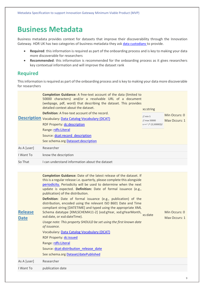### <span id="page-8-0"></span>**Business Metadata**

Business metadata provides context for datasets that improve their discoverability through the Innovation Gateway. HDR UK has two categories of business metadata they ask [data custodians](https://hdronboard.metadata.works/#/123147/dataClass/123148/main?path=123147-all-123148) to provide.

- **Required**: this information is required as part of the onboarding process and is key to making your data more discoverable for researchers
- **Recommended**: this information is recommended for the onboarding process as it gives researchers key contextual information and will improve the dataset rank

### <span id="page-8-1"></span>**Required**

This information is required as part of the onboarding process and is key to making your data more discoverable for researchers

<span id="page-8-3"></span><span id="page-8-2"></span>

|                               | <b>Completion Guidance:</b> A free-text account of the data (limited to<br>50000 characters) and/or a resolvable URL of a document<br>(webpage, pdf, word) that describing the dataset. This provides<br>detailed context about the dataset.<br><b>Definition:</b> A free-text account of the record.<br><b>Description</b> Vocabulary: Data Catalog Vocabulary (DCAT)<br>RDF Property: dc:description<br>Range: rdfs: Literal<br>Source: dcat:record description<br>See schema.org Datasset: description                                                                                                                                                                                                                                                                                                                                                                                                       | xs:string<br>// min 5<br>// max 50000<br>$x == ^{\sim} / ^{\wedge}.$ {5,50000}\$/ | Min Occurs: 0<br>Max Occurs: 1 |
|-------------------------------|-----------------------------------------------------------------------------------------------------------------------------------------------------------------------------------------------------------------------------------------------------------------------------------------------------------------------------------------------------------------------------------------------------------------------------------------------------------------------------------------------------------------------------------------------------------------------------------------------------------------------------------------------------------------------------------------------------------------------------------------------------------------------------------------------------------------------------------------------------------------------------------------------------------------|-----------------------------------------------------------------------------------|--------------------------------|
| As A [user]                   | Researcher                                                                                                                                                                                                                                                                                                                                                                                                                                                                                                                                                                                                                                                                                                                                                                                                                                                                                                      |                                                                                   |                                |
| I Want To                     | know the description                                                                                                                                                                                                                                                                                                                                                                                                                                                                                                                                                                                                                                                                                                                                                                                                                                                                                            |                                                                                   |                                |
| So That                       | I can understand information about the dataset                                                                                                                                                                                                                                                                                                                                                                                                                                                                                                                                                                                                                                                                                                                                                                                                                                                                  |                                                                                   |                                |
|                               |                                                                                                                                                                                                                                                                                                                                                                                                                                                                                                                                                                                                                                                                                                                                                                                                                                                                                                                 |                                                                                   |                                |
| <b>Release</b><br><b>Date</b> | <b>Completion Guidance:</b> Date of the latest release of the dataset. If<br>this is a regular release i.e. quarterly, please complete this alongside<br>periodicity. Periodicity will be used to determine when the next<br>update is expected. Definition: Date of formal issuance (e.g.,<br>publication) of the distribution.<br>Definition: Date of formal issuance (e.g., publication) of the<br>distribution, encoded using the relevant ISO 8601 Date and Time<br>compliant string [DATETIME] and typed using the appropriate XML<br>Schema datatype [XMLSCHEMA11-2] (xsd:gYear, xsd:gYearMonth,<br>xsd:date, or xsd:dateTime).<br>Usage note: This property SHOULD be set using the first known date<br>of issuance.<br>Vocabulary: Data Catalog Vocabulary (DCAT)<br>RDF Property: dc:issued<br>Range: rdfs: Literal<br>Source: dcat:distribution release date<br>See schema.org Dataset/datePublished | xs:date                                                                           | Min Occurs: 0<br>Max Occurs: 1 |
| As A [user]                   | Researcher                                                                                                                                                                                                                                                                                                                                                                                                                                                                                                                                                                                                                                                                                                                                                                                                                                                                                                      |                                                                                   |                                |
| I Want To                     | publication date                                                                                                                                                                                                                                                                                                                                                                                                                                                                                                                                                                                                                                                                                                                                                                                                                                                                                                |                                                                                   |                                |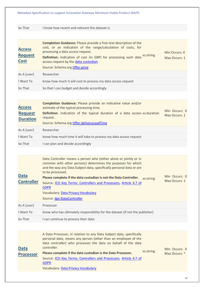So That I know how recent and relevant the dataset is

<span id="page-9-0"></span>

| <b>Access</b><br><b>Request</b><br><b>Cost</b> | <b>Completion Guidance:</b> Please provide a free text description of the<br>cost, or an indication of the range/calculation of costs, for<br>processing a data access request.<br>Definition: Indication of cost (in GBP) for processing each data xs:string<br>access request by the data custodian.<br>Source: Schema.org Offer:price | Min Occurs: 0<br>Max Occurs: 1 |
|------------------------------------------------|------------------------------------------------------------------------------------------------------------------------------------------------------------------------------------------------------------------------------------------------------------------------------------------------------------------------------------------|--------------------------------|
| As A [user]                                    | Researcher                                                                                                                                                                                                                                                                                                                               |                                |
| I Want To                                      | know how much it will cost to process my data access request                                                                                                                                                                                                                                                                             |                                |
| So That                                        | So that I can budget and decide accordingly                                                                                                                                                                                                                                                                                              |                                |

<span id="page-9-1"></span>

| <b>Access</b><br><b>Request</b><br><b>Duration</b> | Completion Guidance: Please provide an indicative value and/or<br>estimate of the typical processing time.<br><b>Definition:</b> Indication of the typical duration of a data access xs: duration<br>request.<br>Source: Schema.org Offer:deliveryLeadTime | Min Occurs: 0<br>Max Occurs: 1 |
|----------------------------------------------------|------------------------------------------------------------------------------------------------------------------------------------------------------------------------------------------------------------------------------------------------------------|--------------------------------|
| As A [user]                                        | Researcher                                                                                                                                                                                                                                                 |                                |
| I Want To                                          | know how much time it will take to process my data access request                                                                                                                                                                                          |                                |
| So That                                            | I can plan and decide accordingly                                                                                                                                                                                                                          |                                |

<span id="page-9-2"></span>

| <b>Data</b><br><b>Controller</b> | Data Controller means a person who (either alone or jointly or in<br>common with other persons) determines the purposes for which<br>and the way any Data Subject data, specifically personal data or are<br>to be processed.<br>Please complete if the data custodian is not the Data Controller.<br>xs:string<br>Source: ICO Key Terms: Controllers and Processors, Article 4.7 of<br><b>GDPR</b><br>Vocabulary: Data Privacy Vocabulary<br>Source: dpv:DataController | Min Occurs: 0<br>Max Occurs: 1 |
|----------------------------------|--------------------------------------------------------------------------------------------------------------------------------------------------------------------------------------------------------------------------------------------------------------------------------------------------------------------------------------------------------------------------------------------------------------------------------------------------------------------------|--------------------------------|
| As A [user]                      | Processor                                                                                                                                                                                                                                                                                                                                                                                                                                                                |                                |
| I Want To                        | know who has ultimately responsibility for the dataset (if not the publisher)                                                                                                                                                                                                                                                                                                                                                                                            |                                |
| So That                          | I can continue to process their data                                                                                                                                                                                                                                                                                                                                                                                                                                     |                                |

<span id="page-9-3"></span>

| <b>Data</b><br><b>Processor</b> | A Data Processor, in relation to any Data Subject data, specifically<br>personal data, means any person (other than an employee of the<br>data controller) who processes the data on behalf of the data<br>controller.<br>xs:string<br>Please complete if the data custodian is the Data Processor. | Min Occurs: 0 |
|---------------------------------|-----------------------------------------------------------------------------------------------------------------------------------------------------------------------------------------------------------------------------------------------------------------------------------------------------|---------------|
|                                 | Source: ICO Key Terms: Controllers and Processors, Article 4.7 of<br><b>GDPR</b><br><b>Vocabulary: Data Privacy Vocabulary</b>                                                                                                                                                                      | Max Occurs: * |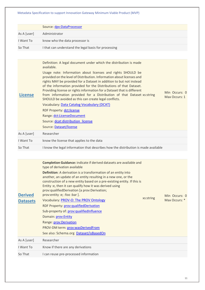<span id="page-10-1"></span><span id="page-10-0"></span>

|                                   | Source: dpv:DataProcessor                                                                                                                                                                                                                                                                                                                                                                                                                                                                                                                                                                                                                                                                                                                                          |                                |
|-----------------------------------|--------------------------------------------------------------------------------------------------------------------------------------------------------------------------------------------------------------------------------------------------------------------------------------------------------------------------------------------------------------------------------------------------------------------------------------------------------------------------------------------------------------------------------------------------------------------------------------------------------------------------------------------------------------------------------------------------------------------------------------------------------------------|--------------------------------|
| As A [user]                       | Administrator                                                                                                                                                                                                                                                                                                                                                                                                                                                                                                                                                                                                                                                                                                                                                      |                                |
| I Want To                         | know who the data processor is                                                                                                                                                                                                                                                                                                                                                                                                                                                                                                                                                                                                                                                                                                                                     |                                |
| So That                           | I that can understand the legal basis for processing                                                                                                                                                                                                                                                                                                                                                                                                                                                                                                                                                                                                                                                                                                               |                                |
|                                   |                                                                                                                                                                                                                                                                                                                                                                                                                                                                                                                                                                                                                                                                                                                                                                    |                                |
| <b>License</b>                    | Definition: A legal document under which the distribution is made<br>available.<br>Usage note: Information about licenses and rights SHOULD be<br>provided on the level of Distribution. Information about licenses and<br>rights MAY be provided for a Dataset in addition to but not instead<br>of the information provided for the Distributions of that Dataset.<br>Providing license or rights information for a Dataset that is different<br>from information provided for a Distribution of that Dataset xs:string<br>SHOULD be avoided as this can create legal conflicts.<br>Vocabulary: Data Catalog Vocabulary (DCAT)<br><b>RDF Property: dct:license</b><br>Range: dct:LicenseDocument<br>Source: dcat:distribution_license<br>Source: Dataset/license | Min Occurs: 0<br>Max Occurs: 1 |
| As A [user]                       | Researcher                                                                                                                                                                                                                                                                                                                                                                                                                                                                                                                                                                                                                                                                                                                                                         |                                |
| I Want To                         | know the license that applies to the data                                                                                                                                                                                                                                                                                                                                                                                                                                                                                                                                                                                                                                                                                                                          |                                |
| So That                           | I know the legal information that describes how the distribution is made available                                                                                                                                                                                                                                                                                                                                                                                                                                                                                                                                                                                                                                                                                 |                                |
|                                   |                                                                                                                                                                                                                                                                                                                                                                                                                                                                                                                                                                                                                                                                                                                                                                    |                                |
| <b>Derived</b><br><b>Datasets</b> | Completion Guidance: indicate if derived datasets are available and<br>type of derivation available<br>Definition: A derivation is a transformation of an entity into<br>another, an update of an entity resulting in a new one, or the<br>construction of a new entity based on a pre-existing entity. If this is<br>Entity :e, then it can qualify how it was derived using<br>prov:qualifiedDerivation [a prov:Derivation;<br>prov:entity :e; :foo :bar ].<br>xs:string<br>Vocabulary: PROV-O: The PROV Ontology<br>RDF Property: prov: qualified Derivation<br>Sub-property of: prov: qualifiedInfluence<br>Domain: prov:Entity<br>Range: prov: Derivation<br>PROV-DM term: prov:wasDerivedFrom<br>See also: Schema.org Dataset/isBasedOn                      | Min Occurs: 0<br>Max Occurs: * |
| As A [user]                       | Researcher                                                                                                                                                                                                                                                                                                                                                                                                                                                                                                                                                                                                                                                                                                                                                         |                                |
| I Want To                         | Know if there are any derivations                                                                                                                                                                                                                                                                                                                                                                                                                                                                                                                                                                                                                                                                                                                                  |                                |
| So That                           | I can reuse pre-processed information                                                                                                                                                                                                                                                                                                                                                                                                                                                                                                                                                                                                                                                                                                                              |                                |
|                                   |                                                                                                                                                                                                                                                                                                                                                                                                                                                                                                                                                                                                                                                                                                                                                                    |                                |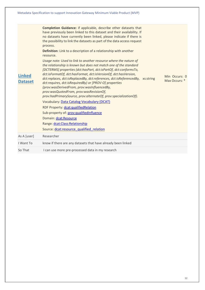<span id="page-11-0"></span>

| <b>Linked</b><br><b>Dataset</b> | <b>Completion Guidance:</b> if applicable, describe other datasets that<br>have previously been linked to this dataset and their availability. If<br>no datasets have currently been linked, please indicate if there is<br>the possibility to link the datasets as part of the data access request<br>process.<br>Definition: Link to a description of a relationship with another<br>resource.<br>Usage note: Used to link to another resource where the nature of<br>the relationship is known but does not match one of the standard<br>[DCTERMS] properties (dct:hasPart, dct:isPartOf, dct:conformsTo,<br>dct:isFormatOf, dct:hasFormat, dct:isVersionOf, dct:hasVersion,<br>dct:replaces, dct:isReplacedBy, dct:references, dct:isReferencedBy, xs:string<br>dct:requires, dct:isRequiredBy) or [PROV-O] properties<br>(prov:wasDerivedFrom, prov:wasInfluencedBy,<br>prov:wasQuotedFrom, prov:wasRevisionOf,<br>prov:hadPrimarySource, prov:alternateOf, prov:specializationOf).<br>Vocabulary: Data Catalog Vocabulary (DCAT)<br>RDF Property: dcat:qualifiedRelation<br>Sub-property of: prov:qualifiedInfluence<br>Domain: dcat:Resource<br>Range: dcat:Class:Relationship<br>Source: dcat:resource qualified relation | Min Occurs: 0<br>Max Occurs: * |
|---------------------------------|-----------------------------------------------------------------------------------------------------------------------------------------------------------------------------------------------------------------------------------------------------------------------------------------------------------------------------------------------------------------------------------------------------------------------------------------------------------------------------------------------------------------------------------------------------------------------------------------------------------------------------------------------------------------------------------------------------------------------------------------------------------------------------------------------------------------------------------------------------------------------------------------------------------------------------------------------------------------------------------------------------------------------------------------------------------------------------------------------------------------------------------------------------------------------------------------------------------------------------------|--------------------------------|
| As A [user]                     | Researcher                                                                                                                                                                                                                                                                                                                                                                                                                                                                                                                                                                                                                                                                                                                                                                                                                                                                                                                                                                                                                                                                                                                                                                                                                        |                                |
| I Want To                       | know if there are any datasets that have already been linked                                                                                                                                                                                                                                                                                                                                                                                                                                                                                                                                                                                                                                                                                                                                                                                                                                                                                                                                                                                                                                                                                                                                                                      |                                |
| So That                         | I can use more pre-processed data in my research                                                                                                                                                                                                                                                                                                                                                                                                                                                                                                                                                                                                                                                                                                                                                                                                                                                                                                                                                                                                                                                                                                                                                                                  |                                |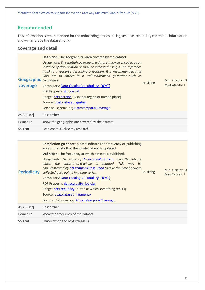Metadata Specification to support Innovation Gateway Minimum Viable Product (MVP)

#### <span id="page-12-0"></span>**Recommended**

This information is recommended for the onboarding process as it gives researchers key contextual information and will improve the dataset rank:

#### <span id="page-12-1"></span>**Coverage and detail**

<span id="page-12-3"></span><span id="page-12-2"></span>

| <b>Geographic</b> Geonames.<br>coverage | Definition: The geographical area covered by the dataset.<br>Usage note: The spatial coverage of a dataset may be encoded as an<br>instance of dct:Location or may be indicated using a URI reference<br>(link) to a resource describing a location. It is recommended that<br>links are to entries in a well-maintained gazetteer such as<br>Vocabulary: Data Catalog Vocabulary (DCAT)<br><b>RDF Property: dct:spatial</b><br>Range: dct:Location (A spatial region or named place)<br>Source: dcat:dataset_spatial<br>See also: schema.org Dataset/spatialCoverage | xs:string | Min Occurs: 0<br>Max Occurs: 1 |
|-----------------------------------------|-----------------------------------------------------------------------------------------------------------------------------------------------------------------------------------------------------------------------------------------------------------------------------------------------------------------------------------------------------------------------------------------------------------------------------------------------------------------------------------------------------------------------------------------------------------------------|-----------|--------------------------------|
| As A [user]                             | Researcher                                                                                                                                                                                                                                                                                                                                                                                                                                                                                                                                                            |           |                                |
| I Want To                               | know the geographic are covered by the dataset                                                                                                                                                                                                                                                                                                                                                                                                                                                                                                                        |           |                                |
| So That                                 | I can contextualise my research                                                                                                                                                                                                                                                                                                                                                                                                                                                                                                                                       |           |                                |
|                                         | <b>Completion guidance:</b> please indicate the frequency of publishing<br>and/or the rate that the whole dataset is updated.                                                                                                                                                                                                                                                                                                                                                                                                                                         |           |                                |
| <b>Periodicity</b>                      | Definition: The frequency at which dataset is published.<br>Usage note: The value of dct:accrualPeriodicity gives the rate at<br>which the dataset-as-a-whole is updated. This may be<br>complemented by dct:temporalResolution to give the time between<br>collected data points in a time series.<br>Vocabulary: Data Catalog Vocabulary (DCAT)<br>RDF Property: dct:accrualPeriodicity<br>Range: dct:Frequency (A rate at which something recurs)<br>Source: dcat:dataset frequency<br>See also: Schema.org Dataset/temporalCoverage                               | xs:string | Min Occurs: 0<br>Max Occurs: 1 |
| As A [user]                             | Researcher                                                                                                                                                                                                                                                                                                                                                                                                                                                                                                                                                            |           |                                |
| I Want To                               | know the frequency of the dataset                                                                                                                                                                                                                                                                                                                                                                                                                                                                                                                                     |           |                                |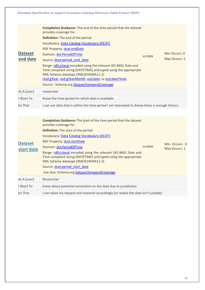<span id="page-13-1"></span><span id="page-13-0"></span>

|                              | Metadata Specification to support Innovation Gateway Minimum Viable Product (MVP)                                                                                                                                                                                                                                                                                                                                                                                                                                                                                                                  |                                |
|------------------------------|----------------------------------------------------------------------------------------------------------------------------------------------------------------------------------------------------------------------------------------------------------------------------------------------------------------------------------------------------------------------------------------------------------------------------------------------------------------------------------------------------------------------------------------------------------------------------------------------------|--------------------------------|
| <b>Dataset</b><br>end date   | <b>Completion Guidance:</b> The end of the time period that the dataset<br>provides coverage for.<br>Definition: The end of the period.<br><b>Vocabulary: Data Catalog Vocabulary (DCAT)</b><br><b>RDF Property: dcat:endDate</b><br>Domain: dct:PeriodOfTime<br>xs:date<br>Source: dcat:period end date<br>Range: rdfs: Literal encoded using the relevant ISO 8601 Date and<br>Time compliant string [DATETIME] and typed using the appropriate<br>XML Schema datatype [XMLSCHEMA11-2]<br>(xsd:gYear, xsd:gYearMonth, xsd:date, or xsd:dateTime).<br>Source: Schema.org Dataset/temporalCoverage | Min Occurs: 0<br>Max Occurs: 1 |
| As A [user]                  | researcher                                                                                                                                                                                                                                                                                                                                                                                                                                                                                                                                                                                         |                                |
| I Want To                    | Know the time period for which data is available                                                                                                                                                                                                                                                                                                                                                                                                                                                                                                                                                   |                                |
| So That                      | I can use data that is within the time period I am interested in /know there is enough history.                                                                                                                                                                                                                                                                                                                                                                                                                                                                                                    |                                |
| <b>Dataset</b><br>start date | <b>Completion Guidance:</b> The start of the time period that the dataset<br>provides coverage for.<br>Definition: The start of the period.<br>Vocabulary: Data Catalog Vocabulary (DCAT)<br>RDF Property: dcat:startDate<br>xs:date<br>Domain: dct:PeriodOfTime<br>Range: rdfs:Literal encoded using the relevant ISO 8601 Date and<br>Time compliant string [DATETIME] and typed using the appropriate<br>XML Schema datatype [XMLSCHEMA11-2]<br>Source: dcat:period start date<br>See also: Schema.org Dataset/temporalCoverage                                                                 | Min Occurs: 0<br>Max Occurs: 1 |
| As A [user]                  | Researcher                                                                                                                                                                                                                                                                                                                                                                                                                                                                                                                                                                                         |                                |
| I Want To                    | know about potential constraints on the data due to jurisdiction                                                                                                                                                                                                                                                                                                                                                                                                                                                                                                                                   |                                |
| So That                      | I can tailor my request and research accordingly (or realise the data isn't suitable)                                                                                                                                                                                                                                                                                                                                                                                                                                                                                                              |                                |
|                              |                                                                                                                                                                                                                                                                                                                                                                                                                                                                                                                                                                                                    |                                |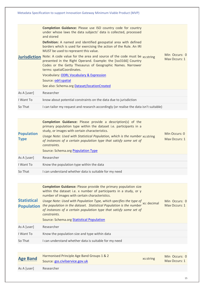<span id="page-14-3"></span><span id="page-14-2"></span><span id="page-14-1"></span><span id="page-14-0"></span>

|                                         | Metadata Specification to support Innovation Gateway Minimum Viable Product (MVP)                                                                                                                                                                                                                                                                                                                                                                                                                                                                                                                                                                                                                            |                                |
|-----------------------------------------|--------------------------------------------------------------------------------------------------------------------------------------------------------------------------------------------------------------------------------------------------------------------------------------------------------------------------------------------------------------------------------------------------------------------------------------------------------------------------------------------------------------------------------------------------------------------------------------------------------------------------------------------------------------------------------------------------------------|--------------------------------|
|                                         | Completion Guidance: Please use ISO country code for country<br>under whose laws the data subjects' data is collected, processed<br>and stored<br>Definition: A named and identified geospatial area with defined<br>borders which is used for exercising the action of the Rule. An IRI<br>MUST be used to represent this value.<br>Jurisdiction Note: A code value for the area and source of the code must be xs:string<br>presented in the Right Operand. Example: the [iso3166] Country<br>Codes or the Getty Thesaurus of Geographic Names. Narrower<br>terms: spatialCoordinates.<br>Vocabulary: ODRL Vocabulary & Expression<br>Source: odrl:spatial<br>See also: Schema.org Dataset/locationCreated | Min Occurs: 0<br>Max Occurs: 1 |
| As A [user]                             | Researcher                                                                                                                                                                                                                                                                                                                                                                                                                                                                                                                                                                                                                                                                                                   |                                |
| I Want To                               | know about potential constraints on the data due to jurisdiction                                                                                                                                                                                                                                                                                                                                                                                                                                                                                                                                                                                                                                             |                                |
| So That                                 | I can tailor my request and research accordingly (or realise the data isn't suitable)                                                                                                                                                                                                                                                                                                                                                                                                                                                                                                                                                                                                                        |                                |
|                                         |                                                                                                                                                                                                                                                                                                                                                                                                                                                                                                                                                                                                                                                                                                              |                                |
| <b>Population</b><br><b>Type</b>        | <b>Completion Guidance:</b> Please provide a description(s) of the<br>primary population type within the dataset i.e. participants in a<br>study, or images with certain characteristics.<br>Usage Note: Used with Statistical Population, which is the number xs:string<br>of instances of a certain population type that satisfy some set of<br>constraints.<br>Source: Schema.org Population Type                                                                                                                                                                                                                                                                                                         | Min Occurs: 0<br>Max Occurs: 1 |
| As A [user]                             | Researcher                                                                                                                                                                                                                                                                                                                                                                                                                                                                                                                                                                                                                                                                                                   |                                |
| I Want To                               | Know the population type within the data                                                                                                                                                                                                                                                                                                                                                                                                                                                                                                                                                                                                                                                                     |                                |
| So That                                 | I can understand whether data is suitable for my need                                                                                                                                                                                                                                                                                                                                                                                                                                                                                                                                                                                                                                                        |                                |
| <b>Statistical</b><br><b>Population</b> | <b>Completion Guidance:</b> Please provide the primary population size<br>within the dataset i.e. x number of participants in a study, or y<br>number of images with certain characteristics.<br>Usage Note: Used with Population Type, which specifies the type of<br>xs: decimal<br>the population in the dataset. Statistical Population is the number<br>of instances of a certain population type that satisfy some set of<br>constraints.<br>Source: Schema.org Statistical Population                                                                                                                                                                                                                 | Min Occurs: 0<br>Max Occurs: 1 |
| As A [user]                             | Researcher                                                                                                                                                                                                                                                                                                                                                                                                                                                                                                                                                                                                                                                                                                   |                                |
| I Want To                               | Know the population size and type within data                                                                                                                                                                                                                                                                                                                                                                                                                                                                                                                                                                                                                                                                |                                |
| So That                                 | I can understand whether data is suitable for my need                                                                                                                                                                                                                                                                                                                                                                                                                                                                                                                                                                                                                                                        |                                |
|                                         |                                                                                                                                                                                                                                                                                                                                                                                                                                                                                                                                                                                                                                                                                                              |                                |
| <b>Age Band</b><br>As A [user]          | Harmonised Principle Age Band Groups 1 & 2<br>xs:string<br>Source: gss.civilservice.gov.uk<br>Researcher                                                                                                                                                                                                                                                                                                                                                                                                                                                                                                                                                                                                     | Min Occurs: 0<br>Max Occurs: 1 |
|                                         |                                                                                                                                                                                                                                                                                                                                                                                                                                                                                                                                                                                                                                                                                                              |                                |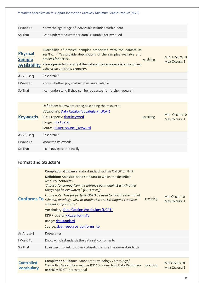<span id="page-15-1"></span><span id="page-15-0"></span>

| Metadata Specification to support Innovation Gateway Minimum Viable Product (MVP) |                                                                                                                                                                                                                                                                                                                                                                                                                                                                                                                                                                             |           |                                |
|-----------------------------------------------------------------------------------|-----------------------------------------------------------------------------------------------------------------------------------------------------------------------------------------------------------------------------------------------------------------------------------------------------------------------------------------------------------------------------------------------------------------------------------------------------------------------------------------------------------------------------------------------------------------------------|-----------|--------------------------------|
| I Want To                                                                         | Know the age range of individuals included within data                                                                                                                                                                                                                                                                                                                                                                                                                                                                                                                      |           |                                |
| So That                                                                           | I can understand whether data is suitable for my need                                                                                                                                                                                                                                                                                                                                                                                                                                                                                                                       |           |                                |
|                                                                                   |                                                                                                                                                                                                                                                                                                                                                                                                                                                                                                                                                                             |           |                                |
| <b>Physical</b><br><b>Sample</b><br><b>Availability</b>                           | Availability of physical samples associated with the dataset as<br>Yes/No. If Yes provide descriptions of the samples available and<br>process for access.<br>Please provide this only if the dataset has any associated samples,<br>otherwise omit this property.                                                                                                                                                                                                                                                                                                          | xs:string | Min Occurs: 0<br>Max Occurs: 1 |
| As A [user]                                                                       | Researcher                                                                                                                                                                                                                                                                                                                                                                                                                                                                                                                                                                  |           |                                |
| I Want To                                                                         | Know whether physical samples are available                                                                                                                                                                                                                                                                                                                                                                                                                                                                                                                                 |           |                                |
| So That                                                                           | I can understand if they can be requested for further research                                                                                                                                                                                                                                                                                                                                                                                                                                                                                                              |           |                                |
|                                                                                   |                                                                                                                                                                                                                                                                                                                                                                                                                                                                                                                                                                             |           |                                |
| <b>Keywords</b>                                                                   | Definition: A keyword or tag describing the resource.<br>Vocabulary: Data Catalog Vocabulary (DCAT)<br>RDF Property: dcat:keyword<br>Range: rdfs: Literal<br>Source: dcat:resource keyword                                                                                                                                                                                                                                                                                                                                                                                  | xs:string | Min Occurs: 0<br>Max Occurs: 1 |
| As A [user]                                                                       | Researcher                                                                                                                                                                                                                                                                                                                                                                                                                                                                                                                                                                  |           |                                |
| I Want To                                                                         | know the keywords                                                                                                                                                                                                                                                                                                                                                                                                                                                                                                                                                           |           |                                |
| So That                                                                           | I can navigate to it easily                                                                                                                                                                                                                                                                                                                                                                                                                                                                                                                                                 |           |                                |
| <b>Format and Structure</b>                                                       |                                                                                                                                                                                                                                                                                                                                                                                                                                                                                                                                                                             |           |                                |
| <b>Conforms To</b>                                                                | <b>Completion Guidance:</b> data standard such as OMOP or FHIR<br><b>Definition:</b> An established standard to which the described<br>resource conforms.<br>"A basis for comparison; a reference point against which other<br>things can be evaluated." [DCTERMS])<br>Usage note: This property SHOULD be used to indicate the model,<br>schema, ontology, view or profile that the catalogued resource<br>content conforms to."<br>Vocabulary: Data Catalog Vocabulary (DCAT)<br>RDF Property: dct:conformsTo<br>Range: dct:Standard<br>Source: dcat:resource conforms to | xs:string | Min Occurs: 0<br>Max Occurs: 1 |
| As A [user]                                                                       | Researcher                                                                                                                                                                                                                                                                                                                                                                                                                                                                                                                                                                  |           |                                |
| I Want To                                                                         | Know which standards the data set conforms to                                                                                                                                                                                                                                                                                                                                                                                                                                                                                                                               |           |                                |
| So That                                                                           | I can use it to link to other datasets that use the same standards                                                                                                                                                                                                                                                                                                                                                                                                                                                                                                          |           |                                |
|                                                                                   |                                                                                                                                                                                                                                                                                                                                                                                                                                                                                                                                                                             |           |                                |
|                                                                                   |                                                                                                                                                                                                                                                                                                                                                                                                                                                                                                                                                                             |           |                                |

<span id="page-15-4"></span><span id="page-15-3"></span><span id="page-15-2"></span>

| <b>Controlled</b> | Completion Guidance: Standard terminology / Ontology /                    | Min Occurs: 0 |
|-------------------|---------------------------------------------------------------------------|---------------|
|                   | Controlled Vocabulary such as ICD 10 Codes, NHS Data Dictionary xs:string |               |
| <b>Vocabulary</b> |                                                                           | Max Occurs: 1 |
|                   | or SNOMED CT International                                                |               |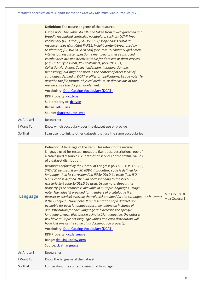Metadata Specification to support Innovation Gateway Minimum Viable Product (MVP) **Definition**: The nature or genre of the resource. *Usage note: The value SHOULD be taken from a well governed and broadly recognised controlled vocabulary, such as: DCMI Type vocabulary [DCTERMS] [ISO-19115-1] scope codes DataCite resource types [DataCite] PARSE. Insight content-types used by re3data.org [RE3DATA-SCHEMA] (see item 15 contentType) MARC intellectual resource types Some members of these controlled vocabularies are not strictly suitable for datasets or data services (e.g. DCMI Type Event, PhysicalObject; [ISO-19115-1] CollectionHardware, CollectionSession, Initiative, Sample, Repository), but might be used in the context of other kinds of catalogues defined in DCAT profiles or applications. Usage note: To describe the file format, physical medium, or dimensions of the resource, use the dct:format element.* Vocabulary: [Data Catalog Vocabulary \(DCAT\)](https://www.w3.org/TR/vocab-dcat-2/) RDF Property[: dct:type](http://purl.org/dc/terms/type) Sub-property of[: dc:type](http://purl.org/dc/elements/1.1/type) Range[: rdfs:Class](http://www.w3.org/2000/01/rdf-schema#Class) Source: [dcat:resource\\_type](https://www.w3.org/TR/vocab-dcat-2/#Property:resource_type) As A [user] Researcher I Want To Know which vocabulary does the dataset use or provide So That I can use it to link to other datasets that use the same vocabularies

<span id="page-16-0"></span>

| <b>Language</b> | Definition: A language of the item. This refers to the natural<br>language used for textual metadata (i.e. titles, descriptions, etc) of<br>a catalogued resource (i.e. dataset or service) or the textual values<br>of a dataset distribution.<br>Resources defined by the Library of Congress (ISO 639-1, ISO 639-2)<br>SHOULD be used. If an ISO 639-1 (two-letter) code is defined for<br>language, then its corresponding IRI SHOULD be used; if no ISO<br>639-1 code is defined, then IRI corresponding to the ISO 639-2<br>(three-letter) code SHOULD be used. Usage note: Repeat this<br>property if the resource is available in multiple languages. Usage<br>note: The value(s) provided for members of a catalogue (i.e.<br>dataset or service) override the value(s) provided for the catalogue xs:language<br>if they conflict. Usage note: If representations of a dataset are<br>available for each language separately, define an instance of<br>dct:Distribution for each language and describe the specific<br>language of each distribution using dct:language (i.e. the dataset<br>will have multiple dct:language values and each distribution will<br>have just one as the value of its dct: language property).<br>Vocabulary: Data Catalog Vocabulary (DCAT)<br>RDF Property: dct:language<br>Range: dct:LinguisticSystem<br>Source: dcat:language | Min Occurs: 0<br>Max Occurs: 1 |
|-----------------|----------------------------------------------------------------------------------------------------------------------------------------------------------------------------------------------------------------------------------------------------------------------------------------------------------------------------------------------------------------------------------------------------------------------------------------------------------------------------------------------------------------------------------------------------------------------------------------------------------------------------------------------------------------------------------------------------------------------------------------------------------------------------------------------------------------------------------------------------------------------------------------------------------------------------------------------------------------------------------------------------------------------------------------------------------------------------------------------------------------------------------------------------------------------------------------------------------------------------------------------------------------------------------------------------------------------------------------------------------------------------|--------------------------------|
| As A [user]     | Researcher                                                                                                                                                                                                                                                                                                                                                                                                                                                                                                                                                                                                                                                                                                                                                                                                                                                                                                                                                                                                                                                                                                                                                                                                                                                                                                                                                                 |                                |
| I Want To       | Know the language of the dataset                                                                                                                                                                                                                                                                                                                                                                                                                                                                                                                                                                                                                                                                                                                                                                                                                                                                                                                                                                                                                                                                                                                                                                                                                                                                                                                                           |                                |
| So That         | I understand the contents using that language                                                                                                                                                                                                                                                                                                                                                                                                                                                                                                                                                                                                                                                                                                                                                                                                                                                                                                                                                                                                                                                                                                                                                                                                                                                                                                                              |                                |
|                 |                                                                                                                                                                                                                                                                                                                                                                                                                                                                                                                                                                                                                                                                                                                                                                                                                                                                                                                                                                                                                                                                                                                                                                                                                                                                                                                                                                            |                                |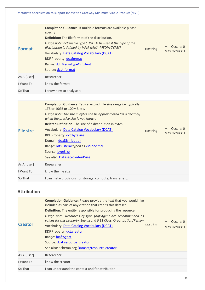<span id="page-17-0"></span>

|                    | <b>Completion Guidance: If multiple formats are available please</b><br>specify<br><b>Definition:</b> The file format of the distribution.                                                                                   |           |                                |
|--------------------|------------------------------------------------------------------------------------------------------------------------------------------------------------------------------------------------------------------------------|-----------|--------------------------------|
| <b>Format</b>      | Usage note: dct:mediaType SHOULD be used if the type of the<br>distribution is defined by IANA [IANA-MEDIA-TYPES].<br>Vocabulary: Data Catalog Vocabulary (DCAT)<br>RDF Property: dct:format<br>Range: dct:MediaTypeOrExtent | xs:string | Min Occurs: 0<br>Max Occurs: 1 |
|                    | Source: dcat:format                                                                                                                                                                                                          |           |                                |
| As A [user]        | Researcher                                                                                                                                                                                                                   |           |                                |
| I Want To          | know the format                                                                                                                                                                                                              |           |                                |
| So That            | I know how to analyse it                                                                                                                                                                                                     |           |                                |
|                    |                                                                                                                                                                                                                              |           |                                |
|                    | <b>Completion Guidance:</b> Typical extract file size range i.e. typically<br>1TB or 10GB or 100MB etc.<br>Usage note: The size in bytes can be approximated (as a decimal)                                                  |           |                                |
|                    | when the precise size is not known.                                                                                                                                                                                          |           |                                |
|                    | Related Definition: The size of a distribution in bytes.<br>Vocabulary: Data Catalog Vocabulary (DCAT)                                                                                                                       |           | Min Occurs: 0                  |
| <b>File size</b>   | RDF Property: dct:byteSize                                                                                                                                                                                                   | xs:string | Max Occurs: 1                  |
|                    | Domain: dct:Distribution                                                                                                                                                                                                     |           |                                |
|                    | Range: rdfs: Literal typed as xsd: decimal                                                                                                                                                                                   |           |                                |
|                    | Source: byteSize                                                                                                                                                                                                             |           |                                |
|                    | See also: Dataset/contentSize                                                                                                                                                                                                |           |                                |
| As A [user]        | Researcher                                                                                                                                                                                                                   |           |                                |
| I Want To          | know the file size                                                                                                                                                                                                           |           |                                |
| So That            | I can make provisions for storage, compute, transfer etc.                                                                                                                                                                    |           |                                |
| <b>Attribution</b> |                                                                                                                                                                                                                              |           |                                |
|                    | Completion Guidance: Please provide the text that you would like<br>included as part of any citation that credits this dataset.                                                                                              |           |                                |
|                    | Definition: The entity responsible for producing the resource.                                                                                                                                                               |           |                                |

<span id="page-17-3"></span><span id="page-17-2"></span><span id="page-17-1"></span>

| <b>Creator</b> | Usage note: Resources of type foaf:Agent are recommended as<br>values for this property. See also: § 6.11 Class: Organization/Person<br>xs:string<br>Vocabulary: Data Catalog Vocabulary (DCAT)<br><b>RDF Property: dct:creator</b><br>Range: foaf:Agent<br>Source: dcat:resource creator<br>See also: Schema.org Dataset/resource creator |  | Min Occurs: 0<br>Max Occurs: 1 |  |
|----------------|--------------------------------------------------------------------------------------------------------------------------------------------------------------------------------------------------------------------------------------------------------------------------------------------------------------------------------------------|--|--------------------------------|--|
| As A [user]    | Researcher                                                                                                                                                                                                                                                                                                                                 |  |                                |  |
| I Want To      | know the creator                                                                                                                                                                                                                                                                                                                           |  |                                |  |
| So That        | I can understand the context and for attribution                                                                                                                                                                                                                                                                                           |  |                                |  |
|                |                                                                                                                                                                                                                                                                                                                                            |  |                                |  |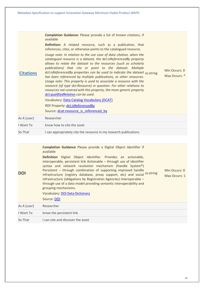<span id="page-18-0"></span>

| <b>Citations</b> | <b>Completion Guidance:</b> Please provide a list of known citations, if<br>available<br><b>Definition:</b> A related resource, such as a publication, that<br>references, cites, or otherwise points to the catalogued resource.<br>Usage note: In relation to the use case of data citation, when the<br>catalogued resource is a dataset, the dct:isReferencedBy property<br>allows to relate the dataset to the resources (such as scholarly<br>publications) that cite or point to the dataset. Multiple<br>dct:isReferencedBy properties can be used to indicate the dataset xs:string<br>has been referenced by multiple publications, or other resources.<br>Usage note: This property is used to associate a resource with the<br>resource (of type dct: Resource) in question. For other relations to<br>resources not covered with this property, the more generic property<br>dct:qualifiedRelation can be used.<br><b>Vocabulary: Data Catalog Vocabulary (DCAT)</b><br>RDF Property: dct:isReferencedBy<br>Source: dcat:resource is referenced by | Min Occurs: 0<br>Max Occurs: * |
|------------------|-----------------------------------------------------------------------------------------------------------------------------------------------------------------------------------------------------------------------------------------------------------------------------------------------------------------------------------------------------------------------------------------------------------------------------------------------------------------------------------------------------------------------------------------------------------------------------------------------------------------------------------------------------------------------------------------------------------------------------------------------------------------------------------------------------------------------------------------------------------------------------------------------------------------------------------------------------------------------------------------------------------------------------------------------------------------|--------------------------------|
| As A [user]      | Researcher                                                                                                                                                                                                                                                                                                                                                                                                                                                                                                                                                                                                                                                                                                                                                                                                                                                                                                                                                                                                                                                      |                                |
| I Want To        | know how to cite the asset                                                                                                                                                                                                                                                                                                                                                                                                                                                                                                                                                                                                                                                                                                                                                                                                                                                                                                                                                                                                                                      |                                |
| So That          | I can appropriately cite the resource in my research publications                                                                                                                                                                                                                                                                                                                                                                                                                                                                                                                                                                                                                                                                                                                                                                                                                                                                                                                                                                                               |                                |
|                  |                                                                                                                                                                                                                                                                                                                                                                                                                                                                                                                                                                                                                                                                                                                                                                                                                                                                                                                                                                                                                                                                 |                                |
|                  | <b>Completion Guidance Please provide a Digital Object Identifier if</b><br>available                                                                                                                                                                                                                                                                                                                                                                                                                                                                                                                                                                                                                                                                                                                                                                                                                                                                                                                                                                           |                                |

<span id="page-18-1"></span>**[DOI](https://hdronboard.metadata.works/#/122894/dataElement/123187) Definition** Digital Object Identifier. Provides an actionable, interoperable, persistent link Actionable – through use of identifier syntax and network resolution mechanism (Handle System®) Persistent – through combination of supporting improved handle infrastructure (registry database, proxy support, etc) and social xs:string infrastructure (obligations by Registration Agencies) Interoperable – through use of a data model providing semantic interoperability and grouping mechanisms. Vocabulary: [DOI Data Dictionary](https://www.doi.org/doi_handbook/schemas/dd/index.html) Source: [DOI](https://www.doi.org/doi_handbook/schemas/dd/idd_DoiName.html) Min Occurs: 0 Max Occurs: 1 As A [user] Researcher

| I Want To | know the persistent link |
|-----------|--------------------------|
|           |                          |

So That I can cite and discover the asset